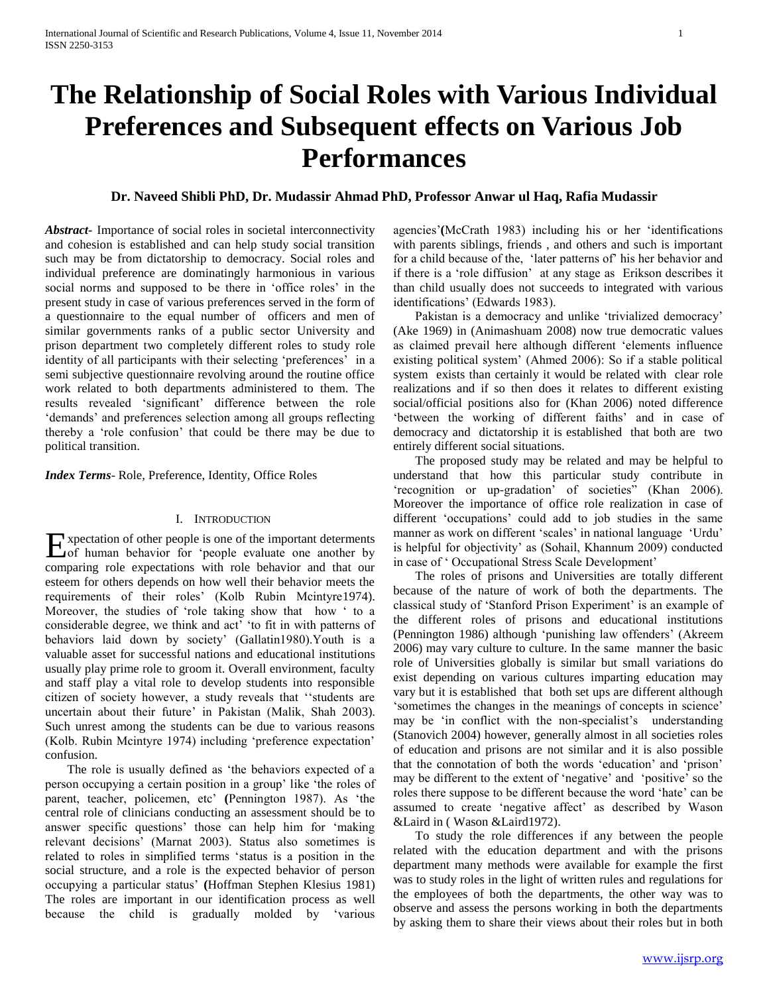# **The Relationship of Social Roles with Various Individual Preferences and Subsequent effects on Various Job Performances**

# **Dr. Naveed Shibli PhD, Dr. Mudassir Ahmad PhD, Professor Anwar ul Haq, Rafia Mudassir**

*Abstract***-** Importance of social roles in societal interconnectivity and cohesion is established and can help study social transition such may be from dictatorship to democracy. Social roles and individual preference are dominatingly harmonious in various social norms and supposed to be there in 'office roles' in the present study in case of various preferences served in the form of a questionnaire to the equal number of officers and men of similar governments ranks of a public sector University and prison department two completely different roles to study role identity of all participants with their selecting 'preferences' in a semi subjective questionnaire revolving around the routine office work related to both departments administered to them. The results revealed 'significant' difference between the role 'demands' and preferences selection among all groups reflecting thereby a 'role confusion' that could be there may be due to political transition.

## *Index Terms*- Role, Preference, Identity, Office Roles

## I. INTRODUCTION

xpectation of other people is one of the important determents Expectation of other people is one of the important determents<br>
Foot human behavior for 'people evaluate one another by comparing role expectations with role behavior and that our esteem for others depends on how well their behavior meets the requirements of their roles' (Kolb Rubin Mcintyre1974). Moreover, the studies of 'role taking show that how ' to a considerable degree, we think and act' 'to fit in with patterns of behaviors laid down by society' (Gallatin1980).Youth is a valuable asset for successful nations and educational institutions usually play prime role to groom it. Overall environment, faculty and staff play a vital role to develop students into responsible citizen of society however, a study reveals that ''students are uncertain about their future' in Pakistan (Malik, Shah 2003). Such unrest among the students can be due to various reasons (Kolb. Rubin Mcintyre 1974) including 'preference expectation' confusion.

 The role is usually defined as 'the behaviors expected of a person occupying a certain position in a group' like 'the roles of parent, teacher, policemen, etc' **(**Pennington 1987). As 'the central role of clinicians conducting an assessment should be to answer specific questions' those can help him for 'making relevant decisions' (Marnat 2003). Status also sometimes is related to roles in simplified terms 'status is a position in the social structure, and a role is the expected behavior of person occupying a particular status' **(**Hoffman Stephen Klesius 1981) The roles are important in our identification process as well because the child is gradually molded by 'various agencies'**(**McCrath 1983) including his or her 'identifications with parents siblings, friends , and others and such is important for a child because of the, 'later patterns of' his her behavior and if there is a 'role diffusion' at any stage as Erikson describes it than child usually does not succeeds to integrated with various identifications' (Edwards 1983).

 Pakistan is a democracy and unlike 'trivialized democracy' (Ake 1969) in (Animashuam 2008) now true democratic values as claimed prevail here although different 'elements influence existing political system' (Ahmed 2006): So if a stable political system exists than certainly it would be related with clear role realizations and if so then does it relates to different existing social/official positions also for (Khan 2006) noted difference 'between the working of different faiths' and in case of democracy and dictatorship it is established that both are two entirely different social situations.

 The proposed study may be related and may be helpful to understand that how this particular study contribute in 'recognition or up-gradation' of societies" (Khan 2006). Moreover the importance of office role realization in case of different 'occupations' could add to job studies in the same manner as work on different 'scales' in national language 'Urdu' is helpful for objectivity' as (Sohail, Khannum 2009) conducted in case of ' Occupational Stress Scale Development'

 The roles of prisons and Universities are totally different because of the nature of work of both the departments. The classical study of 'Stanford Prison Experiment' is an example of the different roles of prisons and educational institutions (Pennington 1986) although 'punishing law offenders' (Akreem 2006) may vary culture to culture. In the same manner the basic role of Universities globally is similar but small variations do exist depending on various cultures imparting education may vary but it is established that both set ups are different although 'sometimes the changes in the meanings of concepts in science' may be 'in conflict with the non-specialist's understanding (Stanovich 2004) however, generally almost in all societies roles of education and prisons are not similar and it is also possible that the connotation of both the words 'education' and 'prison' may be different to the extent of 'negative' and 'positive' so the roles there suppose to be different because the word 'hate' can be assumed to create 'negative affect' as described by Wason &Laird in ( Wason &Laird1972).

 To study the role differences if any between the people related with the education department and with the prisons department many methods were available for example the first was to study roles in the light of written rules and regulations for the employees of both the departments, the other way was to observe and assess the persons working in both the departments by asking them to share their views about their roles but in both